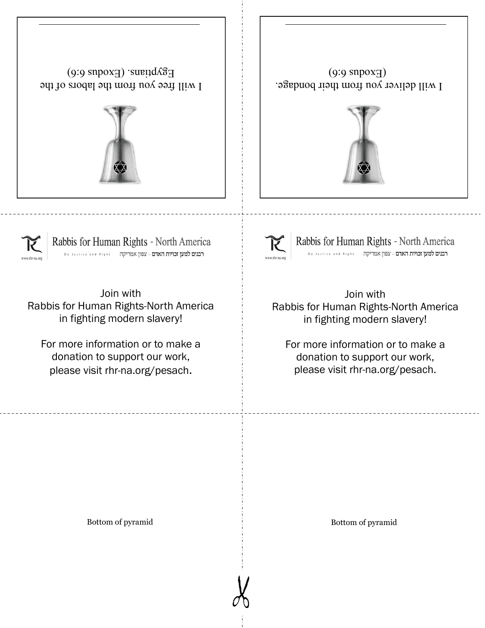





Join with Rabbis for Human Rights-North America in fighting modern slavery!

For more information or to make a donation to support our work, please visit rhr-na.org/pesach.



Rabbis for Human Rights - North America

Join with Rabbis for Human Rights-North America in fighting modern slavery!

For more information or to make a donation to support our work, please visit rhr-na.org/pesach.

Bottom of pyramid Bottom of pyramid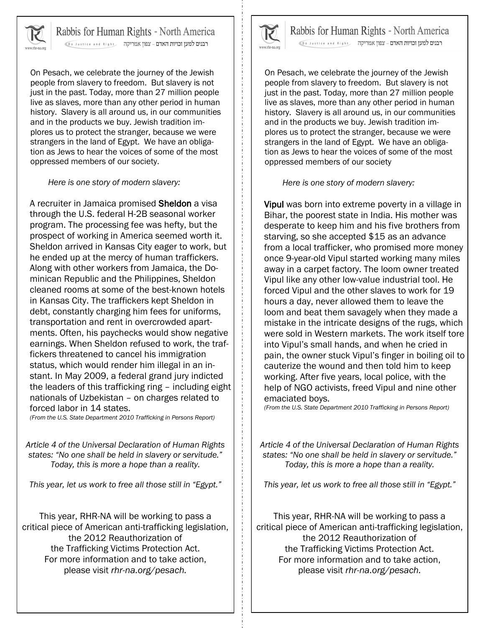

Rabbis for Human Rights - North America

רבנים למען זכויות האדם - צפון אמריקה פו ואו Do Justice and Right

On Pesach, we celebrate the journey of the Jewish people from slavery to freedom. But slavery is not just in the past. Today, more than 27 million people live as slaves, more than any other period in human history. Slavery is all around us, in our communities and in the products we buy. Jewish tradition implores us to protect the stranger, because we were strangers in the land of Egypt. We have an obligation as Jews to hear the voices of some of the most oppressed members of our society.

*Here is one story of modern slavery:*

A recruiter in Jamaica promised Sheldon a visa through the U.S. federal H-2B seasonal worker program. The processing fee was hefty, but the prospect of working in America seemed worth it. Sheldon arrived in Kansas City eager to work, but he ended up at the mercy of human traffickers. Along with other workers from Jamaica, the Dominican Republic and the Philippines, Sheldon cleaned rooms at some of the best-known hotels in Kansas City. The traffickers kept Sheldon in debt, constantly charging him fees for uniforms, transportation and rent in overcrowded apartments. Often, his paychecks would show negative earnings. When Sheldon refused to work, the traffickers threatened to cancel his immigration status, which would render him illegal in an instant. In May 2009, a federal grand jury indicted the leaders of this trafficking ring – including eight nationals of Uzbekistan – on charges related to forced labor in 14 states.

*(From the U.S. State Department 2010 Trafficking in Persons Report)*

*Article 4 of the Universal Declaration of Human Rights states: "No one shall be held in slavery or servitude." Today, this is more a hope than a reality.* 

*This year, let us work to free all those still in "Egypt."* 

This year, RHR-NA will be working to pass a critical piece of American anti-trafficking legislation, the 2012 Reauthorization of the Trafficking Victims Protection Act. For more information and to take action, please visit *rhr-na.org/pesach.*



Rabbis for Human Rights - North America רבנים למען זכויות האדם - צפון אמריקה פו ואו Do Justice and Right

On Pesach, we celebrate the journey of the Jewish people from slavery to freedom. But slavery is not just in the past. Today, more than 27 million people live as slaves, more than any other period in human history. Slavery is all around us, in our communities and in the products we buy. Jewish tradition implores us to protect the stranger, because we were strangers in the land of Egypt. We have an obligation as Jews to hear the voices of some of the most oppressed members of our society

*Here is one story of modern slavery:*

Vipul was born into extreme poverty in a village in Bihar, the poorest state in India. His mother was desperate to keep him and his five brothers from starving, so she accepted \$15 as an advance from a local trafficker, who promised more money once 9-year-old Vipul started working many miles away in a carpet factory. The loom owner treated Vipul like any other low-value industrial tool. He forced Vipul and the other slaves to work for 19 hours a day, never allowed them to leave the loom and beat them savagely when they made a mistake in the intricate designs of the rugs, which were sold in Western markets. The work itself tore into Vipul's small hands, and when he cried in pain, the owner stuck Vipul's finger in boiling oil to cauterize the wound and then told him to keep working. After five years, local police, with the help of NGO activists, freed Vipul and nine other emaciated boys.

*(From the U.S. State Department 2010 Trafficking in Persons Report)*

*Article 4 of the Universal Declaration of Human Rights states: "No one shall be held in slavery or servitude." Today, this is more a hope than a reality.* 

*This year, let us work to free all those still in "Egypt."* 

This year, RHR-NA will be working to pass a critical piece of American anti-trafficking legislation, the 2012 Reauthorization of the Trafficking Victims Protection Act. For more information and to take action, please visit *rhr-na.org/pesach.*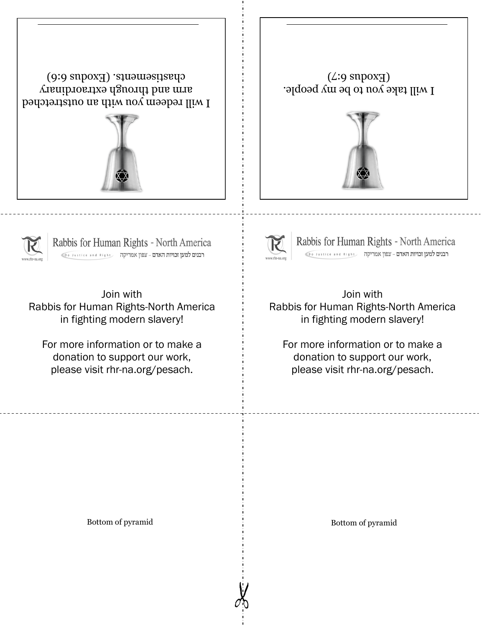







Rabbis for Human Rights - North America



Rabbis for Human Rights - North America

Join with Rabbis for Human Rights-North America in fighting modern slavery!

For more information or to make a donation to support our work, please visit rhr-na.org/pesach.

Join with Rabbis for Human Rights-North America in fighting modern slavery!

For more information or to make a donation to support our work, please visit rhr-na.org/pesach.

Bottom of pyramid Bottom of pyramid